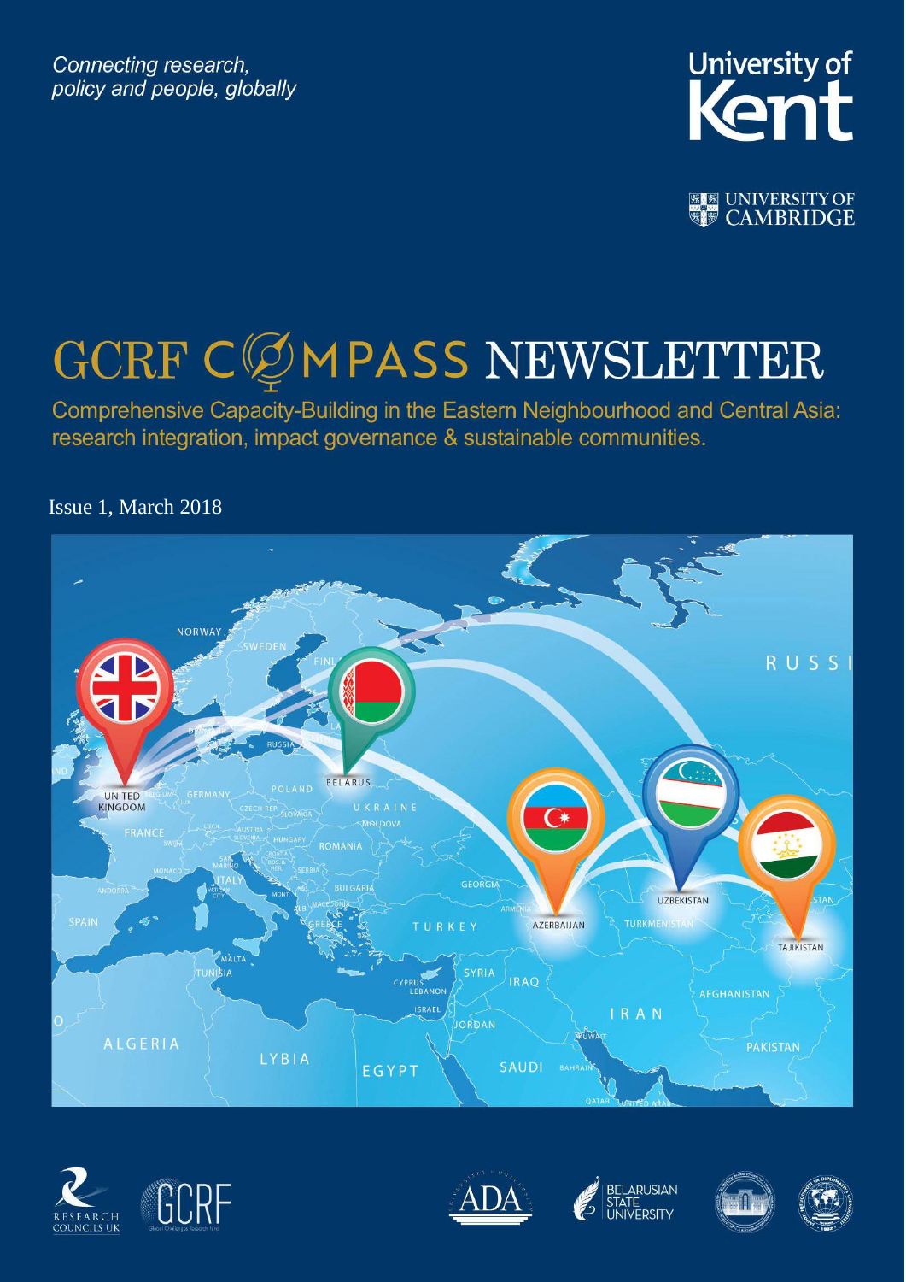Connecting research, policy and people, globally



**图图 UNIVERSITY OF** 

# GCRF CØMPASS NEWSLETTER

Comprehensive Capacity-Building in the Eastern Neighbourhood and Central Asia: research integration, impact governance & sustainable communities.

Issue 1, March 2018











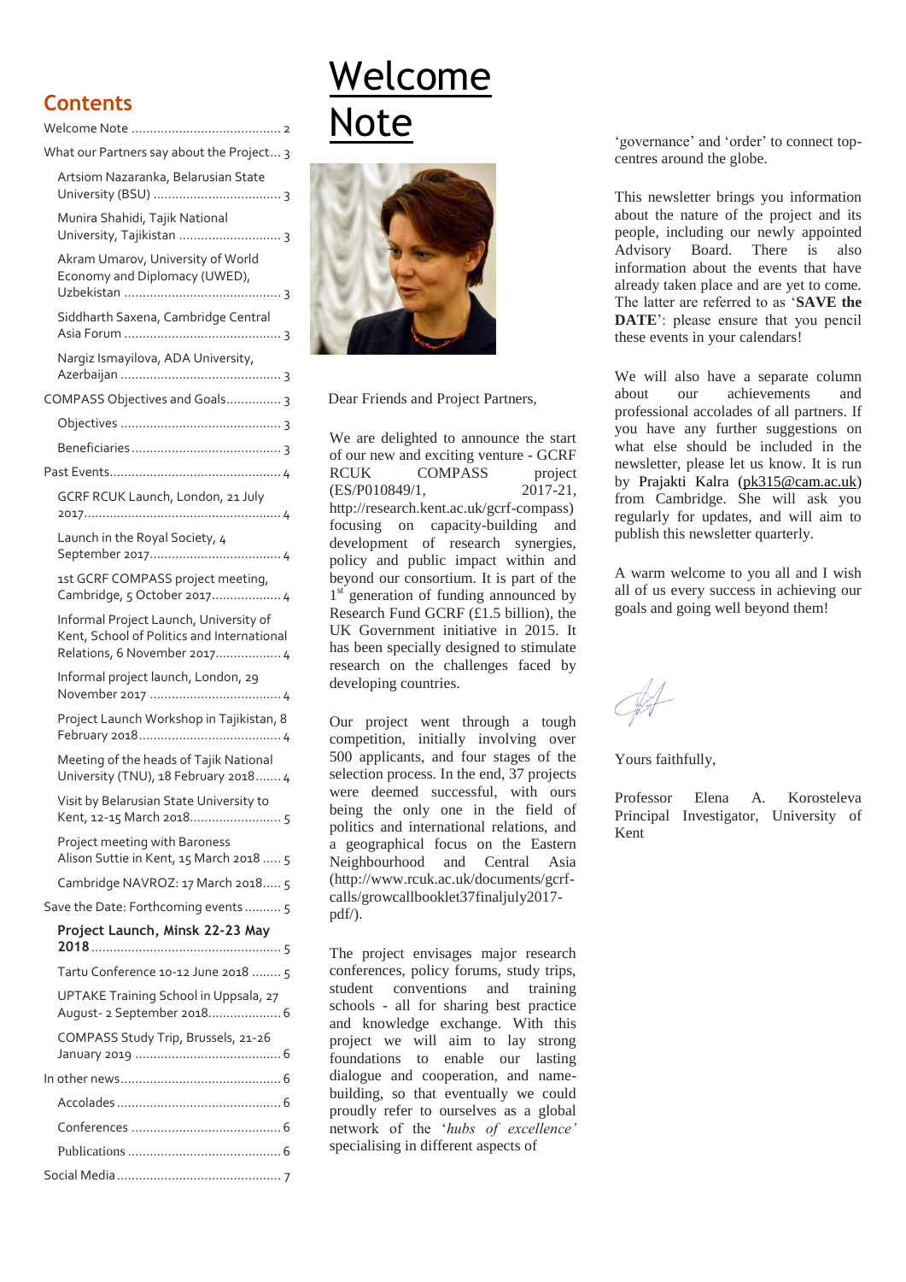#### **Contents**

| What our Partners say about the Project 3                                                                            |
|----------------------------------------------------------------------------------------------------------------------|
| Artsiom Nazaranka, Belarusian State                                                                                  |
| Munira Shahidi, Tajik National<br>University, Tajikistan  3                                                          |
| Akram Umarov, University of World<br>Economy and Diplomacy (UWED),                                                   |
| Siddharth Saxena, Cambridge Central                                                                                  |
| Nargiz Ismayilova, ADA University,                                                                                   |
| COMPASS Objectives and Goals 3                                                                                       |
|                                                                                                                      |
|                                                                                                                      |
|                                                                                                                      |
| GCRF RCUK Launch, London, 21 July                                                                                    |
| Launch in the Royal Society, 4                                                                                       |
| 1st GCRF COMPASS project meeting,<br>Cambridge, 5 October 2017 4                                                     |
| Informal Project Launch, University of<br>Kent, School of Politics and International<br>Relations, 6 November 2017 4 |
| Informal project launch, London, 29                                                                                  |
| Project Launch Workshop in Tajikistan, 8                                                                             |
| Meeting of the heads of Tajik National<br>University (TNU), 18 February 2018 4                                       |
| Visit by Belarusian State University to<br>Kent, 12-15 March 2018 5                                                  |
| Project meeting with Baroness<br>Alison Suttie in Kent, 15 March 2018  5                                             |
| Cambridge NAVROZ: 17 March 2018 5                                                                                    |
| Save the Date: Forthcoming events 5                                                                                  |
| Project Launch, Minsk 22-23 May                                                                                      |
| Tartu Conference 10-12 June 2018  5                                                                                  |
| UPTAKE Training School in Uppsala, 27<br>August- 2 September 2018 6                                                  |
| COMPASS Study Trip, Brussels, 21-26                                                                                  |
|                                                                                                                      |
|                                                                                                                      |
|                                                                                                                      |
|                                                                                                                      |
|                                                                                                                      |

# <span id="page-1-0"></span>Welcome Note



Dear Friends and Project Partners,

We are delighted to announce the start of our new and exciting venture - [GCRF](http://research.kent.ac.uk/gcrf-compass)  [RCUK COMPASS](http://research.kent.ac.uk/gcrf-compass) project (ES/P010849/1, 2017-21, [http://research.kent.ac.uk/gcrf-compass\)](http://research.kent.ac.uk/gcrf-compass) focusing on capacity-building and development of research synergies, policy and public impact within and beyond our consortium. It is part of the 1<sup>st</sup> generation of funding announced by Research Fund GCRF (£1.5 billion), the UK Government initiative in 2015. It has been specially designed to stimulate research on the challenges faced by developing countries.

Our project went through a tough competition, initially involving over 500 applicants, and four stages of the selection process. In the end, 37 projects were deemed successful, with ours being the only one in the field of politics and international relations, and a geographical focus on the Eastern Neighbourhood and Central Asia [\(http://www.rcuk.ac.uk/documents/gcrf](http://www.rcuk.ac.uk/documents/gcrf-calls/growcallbooklet37finaljuly2017-pdf/)[calls/growcallbooklet37finaljuly2017](http://www.rcuk.ac.uk/documents/gcrf-calls/growcallbooklet37finaljuly2017-pdf/) [pdf/\)](http://www.rcuk.ac.uk/documents/gcrf-calls/growcallbooklet37finaljuly2017-pdf/).

The project envisages major research conferences, policy forums, study trips, student conventions and training schools - all for sharing best practice and knowledge exchange. With this project we will aim to lay strong foundations to enable our lasting dialogue and cooperation, and namebuilding, so that eventually we could proudly refer to ourselves as a global network of the '*hubs of excellence'* specialising in different aspects of

'governance' and 'order' to connect topcentres around the globe.

This newsletter brings you information about the nature of the project and its people, including our newly appointed Advisory Board. There is also information about the events that have already taken place and are yet to come. The latter are referred to as '**SAVE the DATE**': please ensure that you pencil these events in your calendars!

We will also have a separate column about our achievements and professional accolades of all partners. If you have any further suggestions on what else should be included in the newsletter, please let us know. It is run by Prajakti Kalra [\(pk315@cam.ac.uk\)](mailto:pk315@cam.ac.uk) from Cambridge. She will ask you regularly for updates, and will aim to publish this newsletter quarterly.

A warm welcome to you all and I wish all of us every success in achieving our goals and going well beyond them!

Yours faithfully,

Professor Elena A. Korosteleva Principal Investigator, University of Kent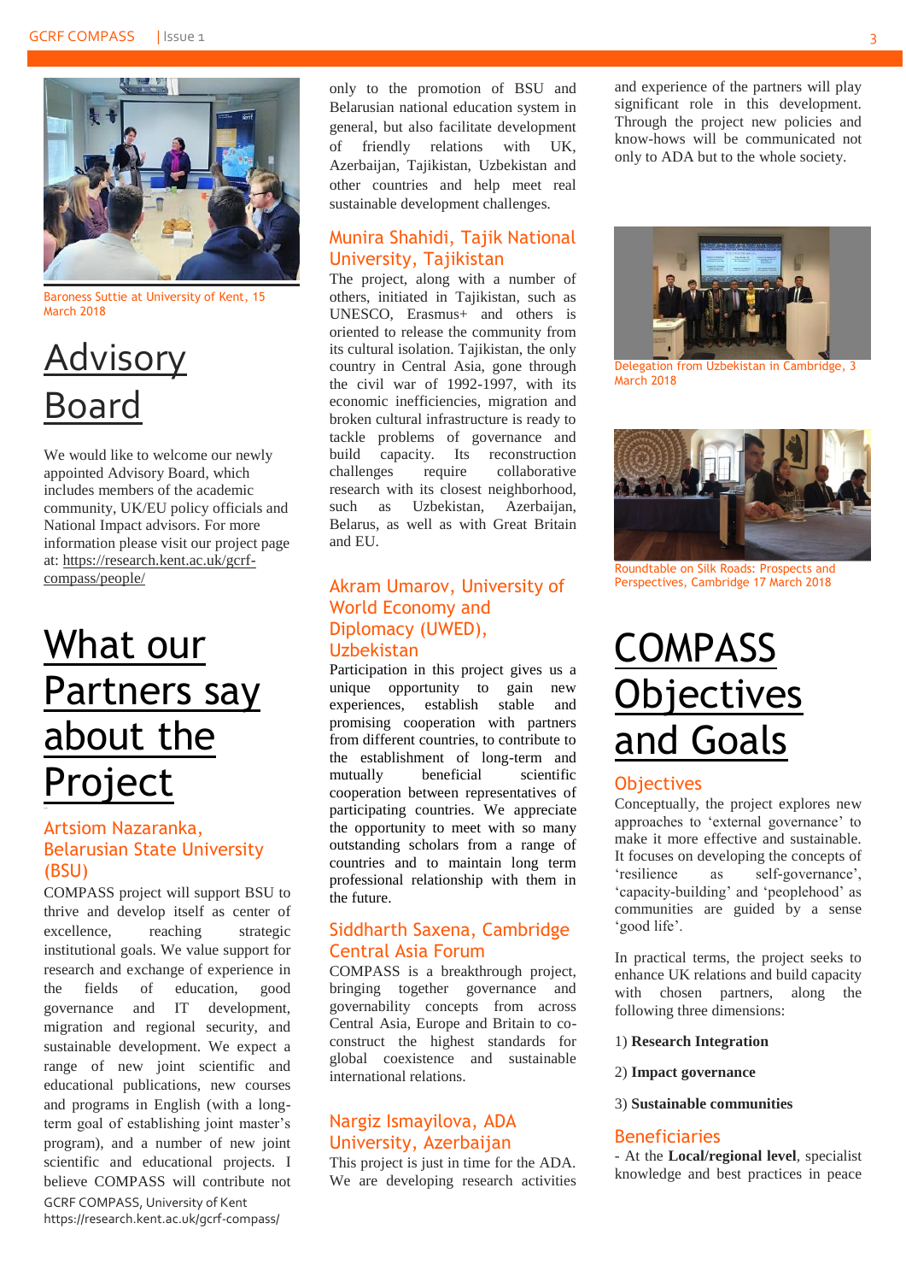

Baroness Suttie at University of Kent, 15 March 2018

### **Advisory** Board

We would like to welcome our newly appointed Advisory Board, which includes members of the academic community, UK/EU policy officials and National Impact advisors. For more information please visit our project page at: [https://research.kent.ac.uk/gcrf](https://research.kent.ac.uk/gcrf-compass/people/)[compass/people/](https://research.kent.ac.uk/gcrf-compass/people/)

### <span id="page-2-0"></span>What our Partners say about the Project

#### <span id="page-2-1"></span>Artsiom Nazaranka, Belarusian State University (BSU)

GCRF COMPASS, University of Kent https://research.kent.ac.uk/gcrf-compass/ COMPASS project will support BSU to thrive and develop itself as center of excellence, reaching strategic institutional goals. We value support for research and exchange of experience in the fields of education, good governance and IT development, migration and regional security, and sustainable development. We expect a range of new joint scientific and educational publications, new courses and programs in English (with a longterm goal of establishing joint master's program), and a number of new joint scientific and educational projects. I believe COMPASS will contribute not only to the promotion of BSU and Belarusian national education system in general, but also facilitate development of friendly relations with UK, Azerbaijan, Tajikistan, Uzbekistan and other countries and help meet real sustainable development challenges*.*

#### <span id="page-2-2"></span>Munira Shahidi, Tajik National University, Tajikistan

The project, along with a number of others, initiated in Tajikistan, such as UNESCO, Erasmus+ and others is oriented to release the community from its cultural isolation. Tajikistan, the only country in Central Asia, gone through the civil war of 1992-1997, with its economic inefficiencies, migration and broken cultural infrastructure is ready to tackle problems of governance and build capacity. Its reconstruction challenges require collaborative research with its closest neighborhood, such as Uzbekistan, Azerbaijan, Belarus, as well as with Great Britain and EU.

#### <span id="page-2-3"></span>Akram Umarov, University of World Economy and Diplomacy (UWED), Uzbekistan

Participation in this project gives us a unique opportunity to gain new experiences, establish stable and promising cooperation with partners from different countries, to contribute to the establishment of long-term and mutually beneficial scientific cooperation between representatives of participating countries. We appreciate the opportunity to meet with so many outstanding scholars from a range of countries and to maintain long term professional relationship with them in the future.

#### <span id="page-2-4"></span>Siddharth Saxena, Cambridge Central Asia Forum

COMPASS is a breakthrough project, bringing together governance and governability concepts from across Central Asia, Europe and Britain to coconstruct the highest standards for global coexistence and sustainable international relations.

#### <span id="page-2-5"></span>Nargiz Ismayilova, ADA University, Azerbaijan

This project is just in time for the ADA. We are developing research activities

and experience of the partners will play significant role in this development. Through the project new policies and know-hows will be communicated not only to ADA but to the whole society.



Delegation from Uzbekistan in Cambridge, 3 March 2018



Roundtable on Silk Roads: Prospects and Perspectives, Cambridge 17 March 2018

# <span id="page-2-6"></span>COMPASS **Objectives** and Goals

#### <span id="page-2-7"></span>**Objectives**

Conceptually, the project explores new approaches to 'external governance' to make it more effective and sustainable. It focuses on developing the concepts of 'resilience as self-governance', 'capacity-building' and 'peoplehood' as communities are guided by a sense 'good life'.

In practical terms, the project seeks to enhance UK relations and build capacity with chosen partners, along the following three dimensions:

- 1) **Research Integration**
- 2) **Impact governance**
- 3) **Sustainable communities**

#### <span id="page-2-8"></span>Beneficiaries

- At the **Local/regional level**, specialist knowledge and best practices in peace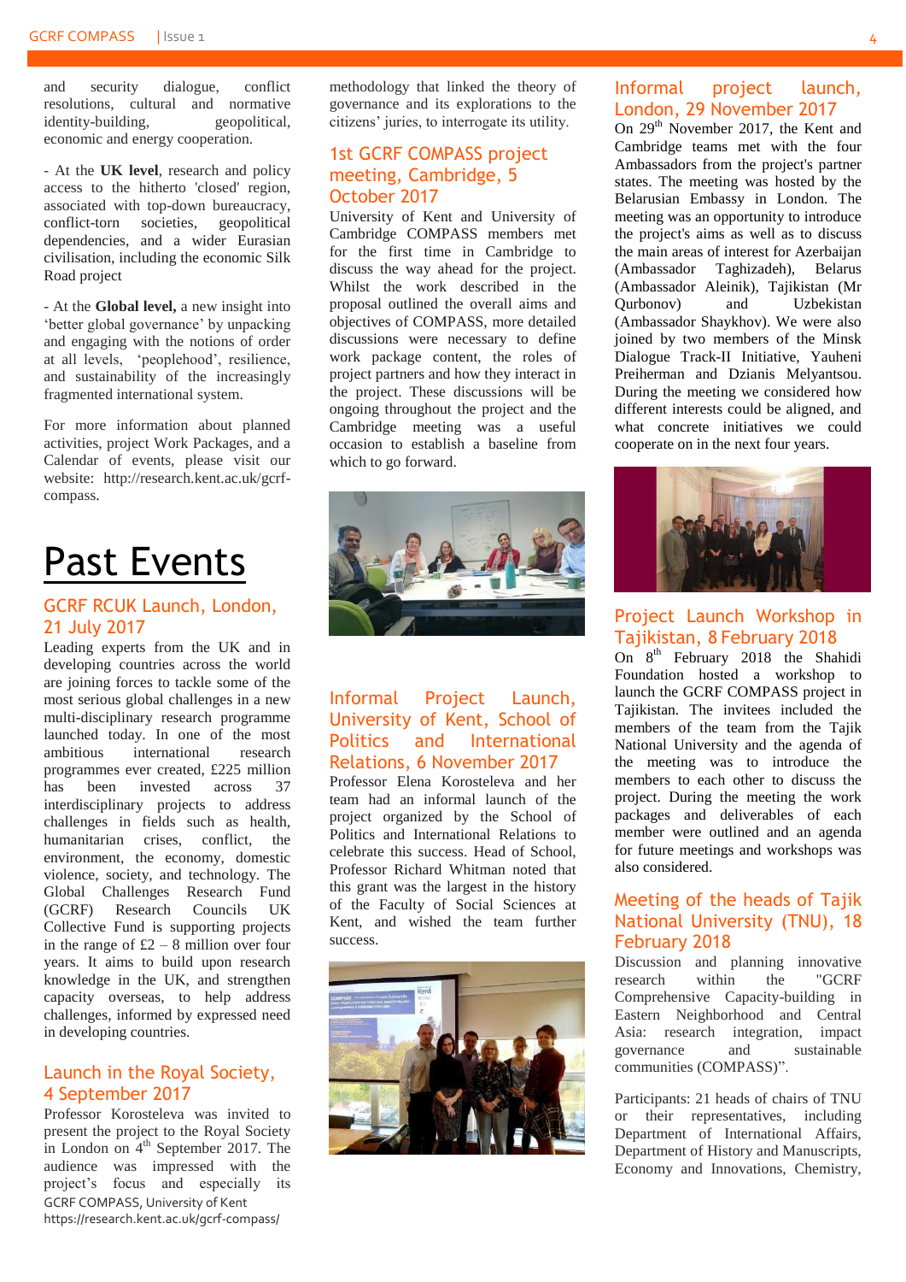and security dialogue, conflict resolutions, cultural and normative identity-building, geopolitical. identity-building, economic and energy cooperation.

- At the **UK level**, research and policy access to the hitherto 'closed' region, associated with top-down bureaucracy, conflict-torn societies, geopolitical dependencies, and a wider Eurasian civilisation, including the economic Silk Road project

- At the **Global level,** a new insight into 'better global governance' by unpacking and engaging with the notions of order at all levels, 'peoplehood', resilience, and sustainability of the increasingly fragmented international system.

For more information about planned activities, project Work Packages, and a Calendar of events, please visit our website: [http://research.kent.ac.uk/gcrf](http://research.kent.ac.uk/gcrf-compass)[compass.](http://research.kent.ac.uk/gcrf-compass)

### <span id="page-3-0"></span>Past Events

#### <span id="page-3-1"></span>GCRF RCUK Launch, London, 21 July 2017

Leading experts from the UK and in developing countries across the world are joining forces to tackle some of the most serious global challenges in a new multi-disciplinary research programme launched today. In one of the most ambitious international research programmes ever created, £225 million has been invested across 37 interdisciplinary projects to address challenges in fields such as health, humanitarian crises, conflict, the environment, the economy, domestic violence, society, and technology. The Global Challenges Research Fund (GCRF) Research Councils UK Collective Fund is supporting projects in the range of  $\pounds 2 - 8$  million over four years. It aims to build upon research knowledge in the UK, and strengthen capacity overseas, to help address challenges, informed by expressed need in developing countries.

#### <span id="page-3-2"></span>Launch in the Royal Society, 4 September 2017

GCRF COMPASS, University of Kent https://research.kent.ac.uk/gcrf-compass/ Professor Korosteleva was invited to present the project to the Royal Society in London on  $4<sup>th</sup>$  September 2017. The audience was impressed with the project's focus and especially its methodology that linked the theory of governance and its explorations to the citizens' juries, to interrogate its utility.

#### <span id="page-3-3"></span>1st GCRF COMPASS project meeting, Cambridge, 5 October 2017

University of Kent and University of Cambridge COMPASS members met for the first time in Cambridge to discuss the way ahead for the project. Whilst the work described in the proposal outlined the overall aims and objectives of COMPASS, more detailed discussions were necessary to define work package content, the roles of project partners and how they interact in the project. These discussions will be ongoing throughout the project and the Cambridge meeting was a useful occasion to establish a baseline from which to go forward.



#### <span id="page-3-4"></span>Informal Project Launch, University of Kent, School of Politics and International Relations, 6 November 2017

Professor Elena Korosteleva and her team had an informal launch of the project organized by the School of Politics and International Relations to celebrate this success. Head of School, Professor Richard Whitman noted that this grant was the largest in the history of the Faculty of Social Sciences at Kent, and wished the team further success.



#### <span id="page-3-5"></span>Informal project launch, London, 29 November 2017

On 29<sup>th</sup> November 2017, the Kent and Cambridge teams met with the four Ambassadors from the project's partner states. The meeting was hosted by the Belarusian Embassy in London. The meeting was an opportunity to introduce the project's aims as well as to discuss the main areas of interest for Azerbaijan (Ambassador Taghizadeh), Belarus (Ambassador Aleinik), Tajikistan (Mr Qurbonov) and Uzbekistan (Ambassador Shaykhov). We were also joined by two members of the Minsk Dialogue Track-II Initiative, Yauheni Preiherman and Dzianis Melyantsou. During the meeting we considered how different interests could be aligned, and what concrete initiatives we could cooperate on in the next four years.



#### <span id="page-3-6"></span>Project Launch Workshop in Tajikistan, 8 February 2018

On 8<sup>th</sup> February 2018 the Shahidi Foundation hosted a workshop to launch the GCRF COMPASS project in Tajikistan. The invitees included the members of the team from the Tajik National University and the agenda of the meeting was to introduce the members to each other to discuss the project. During the meeting the work packages and deliverables of each member were outlined and an agenda for future meetings and workshops was also considered.

#### <span id="page-3-7"></span>Meeting of the heads of Tajik National University (TNU), 18 February 2018

Discussion and planning innovative<br>research within the "GCRF research within the "GCRF Comprehensive Capacity-building in Eastern Neighborhood and Central Asia: research integration, impact governance and sustainable communities (COMPASS)".

Participants: 21 heads of chairs of TNU or their representatives, including Department of International Affairs, Department of History and Manuscripts, Economy and Innovations, Chemistry,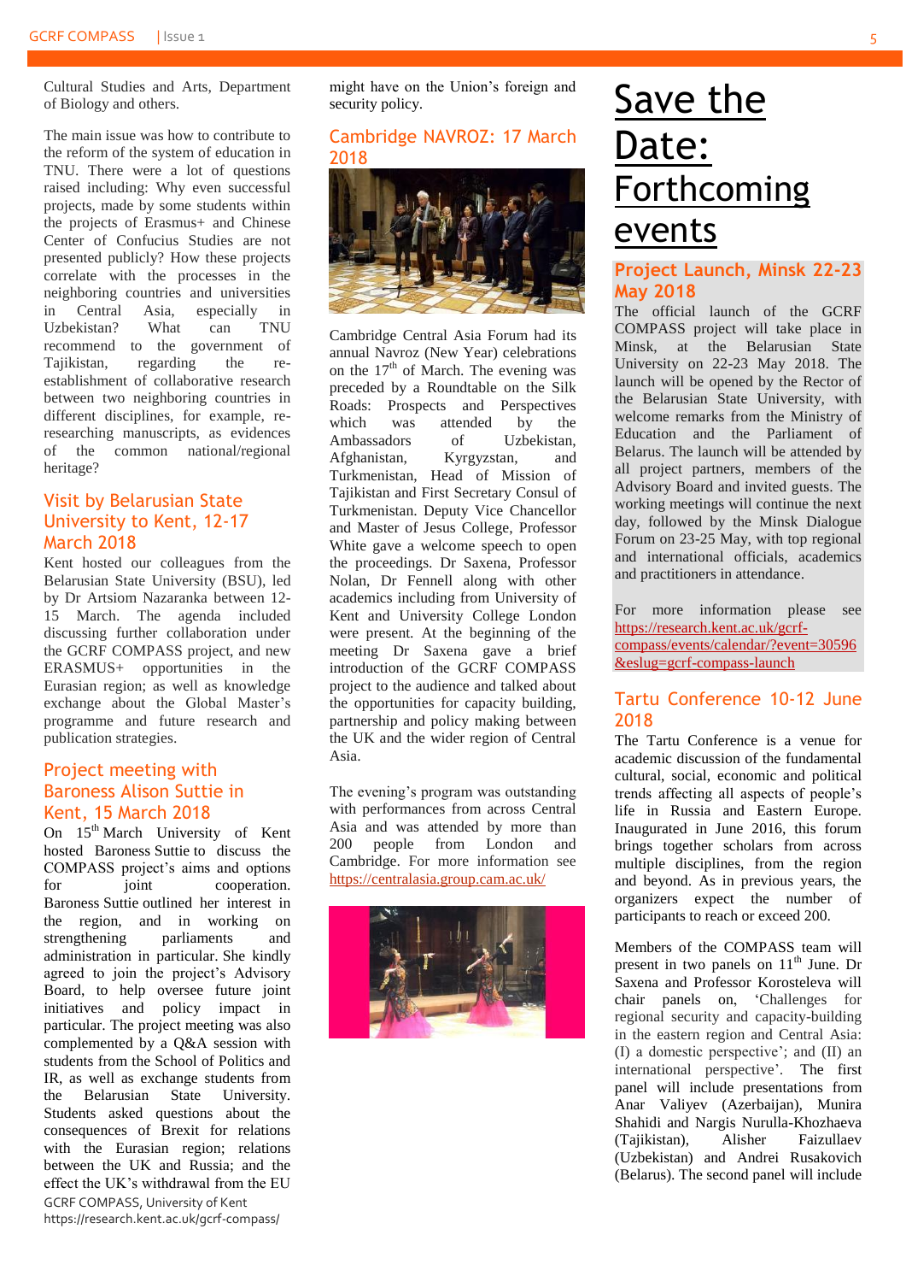Cultural Studies and Arts, Department of Biology and others.

The main issue was how to contribute to the reform of the system of education in TNU. There were a lot of questions raised including: Why even successful projects, made by some students within the projects of Erasmus+ and Chinese Center of Confucius Studies are not presented publicly? How these projects correlate with the processes in the neighboring countries and universities in Central Asia, especially in<br>Uzbekistan? What can TNU Uzbekistan? What can TNU recommend to the government of Tajikistan, regarding the reestablishment of collaborative research between two neighboring countries in different disciplines, for example, reresearching manuscripts, as evidences of the common national/regional heritage?

#### <span id="page-4-0"></span>Visit by Belarusian State University to Kent, 12-17 March 2018

Kent hosted our colleagues from the Belarusian State University (BSU), led by Dr Artsiom Nazaranka between 12- 15 March. The agenda included discussing further collaboration under the GCRF COMPASS project, and new ERASMUS+ opportunities in the Eurasian region; as well as knowledge exchange about the Global Master's programme and future research and publication strategies.

#### <span id="page-4-1"></span>Project meeting with Baroness Alison Suttie in Kent, 15 March 2018

GCRF COMPASS, University of Kent https://research.kent.ac.uk/gcrf-compass/ On  $15<sup>th</sup>$  March University of Kent hosted Baroness Suttie to discuss the COMPASS project's aims and options for joint cooperation. Baroness Suttie outlined her interest in the region, and in working on strengthening parliaments and administration in particular. She kindly agreed to join the project's Advisory Board, to help oversee future joint initiatives and policy impact in particular. The project meeting was also complemented by a Q&A session with students from the School of Politics and IR, as well as exchange students from the Belarusian State University. Students asked questions about the consequences of Brexit for relations with the Eurasian region; relations between the UK and Russia; and the effect the UK's withdrawal from the EU

might have on the Union's foreign and security policy.

#### <span id="page-4-2"></span>[Cambridge NAVROZ: 17 March](#page-4-4)  [2018](#page-4-4)



Cambridge Central Asia Forum had its annual Navroz (New Year) celebrations on the  $17<sup>th</sup>$  of March. The evening was preceded by a Roundtable on the Silk Roads: Prospects and Perspectives which was attended by the Ambassadors of Uzbekistan, Afghanistan, Kyrgyzstan, and Turkmenistan, Head of Mission of Tajikistan and First Secretary Consul of Turkmenistan. Deputy Vice Chancellor and Master of Jesus College, Professor White gave a welcome speech to open the proceedings. Dr Saxena, Professor Nolan, Dr Fennell along with other academics including from University of Kent and University College London were present. At the beginning of the meeting Dr Saxena gave a brief introduction of the GCRF COMPASS project to the audience and talked about the opportunities for capacity building, partnership and policy making between the UK and the wider region of Central Asia.

The evening's program was outstanding with performances from across Central Asia and was attended by more than 200 people from London and Cambridge. For more information see <https://centralasia.group.cam.ac.uk/>



### <span id="page-4-3"></span>Save the Date: **Forthcoming** events

#### <span id="page-4-4"></span>**[Project Launch, Minsk 22-23](#page-4-4)  [May 2018](#page-4-4)**

The official launch of the GCRF COMPASS project will take place in Minsk, at the Belarusian State University on 22-23 May 2018. The launch will be opened by the Rector of the Belarusian State University, with welcome remarks from the Ministry of Education and the Parliament of Belarus. The launch will be attended by all project partners, members of the Advisory Board and invited guests. The working meetings will continue the next day, followed by the Minsk Dialogue Forum on 23-25 May, with top regional and international officials, academics and practitioners in attendance.

For more information please see [https://research.kent.ac.uk/gcrf](https://research.kent.ac.uk/gcrf-compass/events/calendar/?event=30596&eslug=gcrf-compass-launch)[compass/events/calendar/?event=30596](https://research.kent.ac.uk/gcrf-compass/events/calendar/?event=30596&eslug=gcrf-compass-launch) [&eslug=gcrf-compass-launch](https://research.kent.ac.uk/gcrf-compass/events/calendar/?event=30596&eslug=gcrf-compass-launch)

#### <span id="page-4-5"></span>Tartu Conference 10-12 June 2018

The Tartu Conference is a venue for academic discussion of the fundamental cultural, social, economic and political trends affecting all aspects of people's life in Russia and Eastern Europe. Inaugurated in June 2016, this forum brings together scholars from across multiple disciplines, from the region and beyond. As in previous years, the organizers expect the number of participants to reach or exceed 200.

Members of the COMPASS team will present in two panels on  $11<sup>th</sup>$  June. Dr Saxena and Professor Korosteleva will chair panels on, 'Challenges for regional security and capacity-building in the eastern region and Central Asia: (I) a domestic perspective'; and (II) an international perspective'. The first panel will include presentations from Anar Valiyev (Azerbaijan), Munira Shahidi and Nargis Nurulla-Khozhaeva<br>(Tajikistan), Alisher Faizullaev (Tajikistan), Alisher Faizullaev (Uzbekistan) and Andrei Rusakovich (Belarus). The second panel will include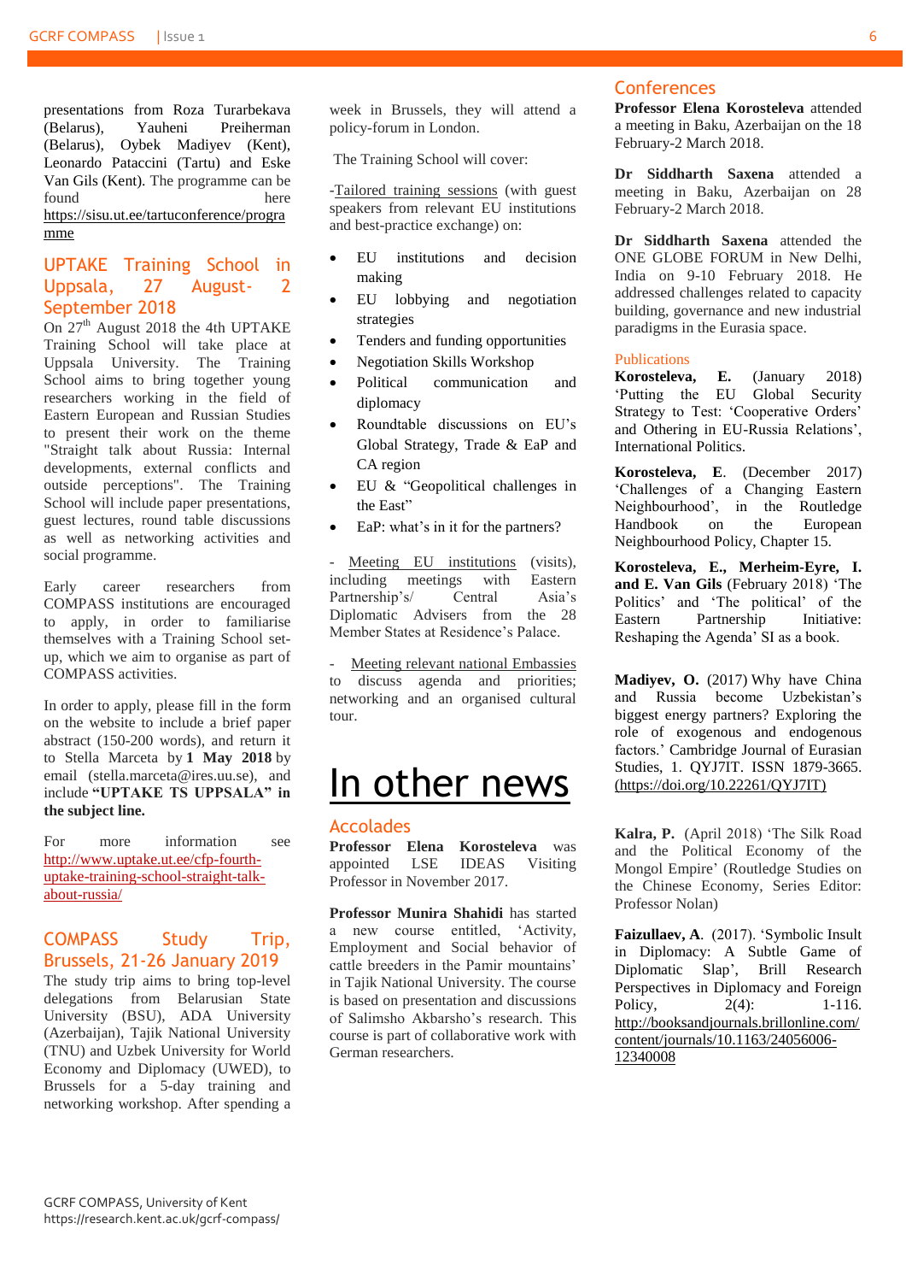presentations from Roza Turarbekava (Belarus), Yauheni Preiherman (Belarus), Oybek Madiyev (Kent), Leonardo Pataccini (Tartu) and Eske Van Gils (Kent). The programme can be found here here [https://sisu.ut.ee/tartuconference/progra](https://sisu.ut.ee/tartuconference/programme) [mme](https://sisu.ut.ee/tartuconference/programme)

#### <span id="page-5-0"></span>[UPTAKE Training School in](#page-5-0)  [Uppsala,](#page-5-0) 27 August- 2 September 2018

On  $27<sup>th</sup>$  August 2018 the 4th UPTAKE Training School will take place at Uppsala University. The Training School aims to bring together young researchers working in the field of Eastern European and Russian Studies to present their work on the theme "Straight talk about Russia: Internal developments, external conflicts and outside perceptions". The Training School will include paper presentations, guest lectures, round table discussions as well as networking activities and social programme.

Early career researchers from COMPASS institutions are encouraged to apply, in order to familiarise themselves with a Training School setup, which we aim to organise as part of COMPASS activities.

In order to apply, please fill in the form on the website to include a brief paper abstract (150-200 words), and return it to Stella Marceta by **1 May 2018** by email (stella.marceta@ires.uu.se), and include **"UPTAKE TS UPPSALA" in the subject line.**

For more information see [http://www.uptake.ut.ee/cfp-fourth](http://www.uptake.ut.ee/cfp-fourth-uptake-training-school-straight-talk-about-russia/)[uptake-training-school-straight-talk](http://www.uptake.ut.ee/cfp-fourth-uptake-training-school-straight-talk-about-russia/)[about-russia/](http://www.uptake.ut.ee/cfp-fourth-uptake-training-school-straight-talk-about-russia/)

#### <span id="page-5-1"></span>COMPASS Study Trip, Brussels, 21-26 January 2019

The study trip aims to bring top-level delegations from Belarusian State University (BSU), ADA University (Azerbaijan), Tajik National University (TNU) and Uzbek University for World Economy and Diplomacy (UWED), to Brussels for a 5-day training and networking workshop. After spending a

week in Brussels, they will attend a policy-forum in London.

The Training School will cover:

-Tailored training sessions (with guest speakers from relevant EU institutions and best-practice exchange) on:

- EU institutions and decision making
- EU lobbying and negotiation strategies
- Tenders and funding opportunities
- Negotiation Skills Workshop
- Political communication and diplomacy
- Roundtable discussions on EU's Global Strategy, Trade & EaP and CA region
- EU & "Geopolitical challenges in the East"
- EaP: what's in it for the partners?

Meeting EU institutions (visits), including meetings with Eastern Partnership's/ Central Asia's Diplomatic Advisers from the 28 Member States at Residence's Palace.

Meeting relevant national Embassies to discuss agenda and priorities; networking and an organised cultural tour.

### <span id="page-5-2"></span>In other news

#### <span id="page-5-3"></span>Accolades

**Professor Elena Korosteleva** was appointed LSE IDEAS Visiting Professor in November 2017.

**Professor Munira Shahidi** has started a new course entitled, 'Activity, Employment and Social behavior of cattle breeders in the Pamir mountains' in Tajik National University. The course is based on presentation and discussions of Salimsho Akbarsho's research. This course is part of collaborative work with German researchers.

#### <span id="page-5-4"></span>**Conferences**

**Professor Elena Korosteleva** attended a meeting in Baku, Azerbaijan on the 18 February-2 March 2018.

**Dr Siddharth Saxena** attended a meeting in Baku, Azerbaijan on 28 February-2 March 2018.

**Dr Siddharth Saxena** attended the ONE GLOBE FORUM in New Delhi, India on 9-10 February 2018. He addressed challenges related to capacity building, governance and new industrial paradigms in the Eurasia space.

#### <span id="page-5-5"></span>Publications

**Korosteleva, E.** (January 2018) 'Putting the EU Global Security Strategy to Test: 'Cooperative Orders' and Othering in EU-Russia Relations', International Politics.

**Korosteleva, E**. (December 2017) 'Challenges of a Changing Eastern Neighbourhood', in the Routledge Handbook on the European Neighbourhood Policy, Chapter 15.

**Korosteleva, E., Merheim-Eyre, I. and E. Van Gils** (February 2018) 'The Politics' and 'The political' of the Eastern Partnership Initiative: Reshaping the Agenda' SI as a book.

**Madiyev, O.** (2017) Why have China and Russia become Uzbekistan's biggest energy partners? Exploring the role of exogenous and endogenous factors.' Cambridge Journal of Eurasian Studies, 1. QYJ7IT. ISSN 1879-3665. [\(https://doi.org/10.22261/QYJ7IT\)](https://doi.org/10.22261/QYJ7IT)

**Kalra, P.** (April 2018) 'The Silk Road and the Political Economy of the Mongol Empire' (Routledge Studies on the Chinese Economy, Series Editor: Professor Nolan)

**Faizullaev, A**. (2017). 'Symbolic Insult in Diplomacy: A Subtle Game of Diplomatic Slap', Brill Research Perspectives in Diplomacy and Foreign Policy, 2(4): 1-116. [http://booksandjournals.brillonline.com/](http://booksandjournals.brillonline.com/content/journals/10.1163/24056006-12340008) [content/journals/10.1163/24056006-](http://booksandjournals.brillonline.com/content/journals/10.1163/24056006-12340008) [12340008](http://booksandjournals.brillonline.com/content/journals/10.1163/24056006-12340008)